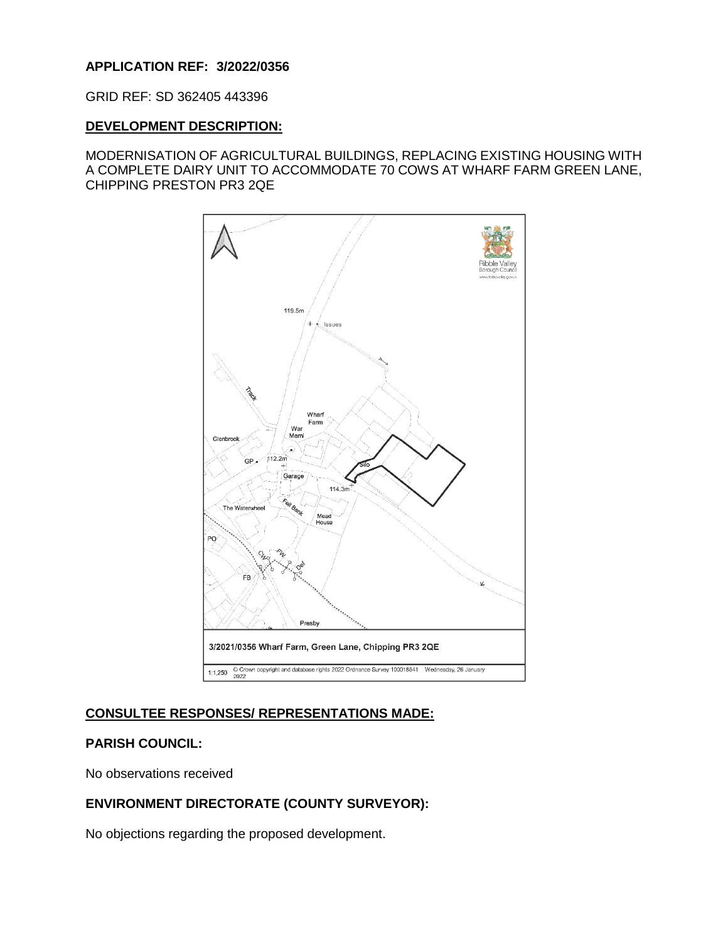### **APPLICATION REF: 3/2022/0356**

GRID REF: SD 362405 443396

#### **DEVELOPMENT DESCRIPTION:**

MODERNISATION OF AGRICULTURAL BUILDINGS, REPLACING EXISTING HOUSING WITH A COMPLETE DAIRY UNIT TO ACCOMMODATE 70 COWS AT WHARF FARM GREEN LANE, CHIPPING PRESTON PR3 2QE



# **CONSULTEE RESPONSES/ REPRESENTATIONS MADE:**

### **PARISH COUNCIL:**

No observations received

# **ENVIRONMENT DIRECTORATE (COUNTY SURVEYOR):**

No objections regarding the proposed development.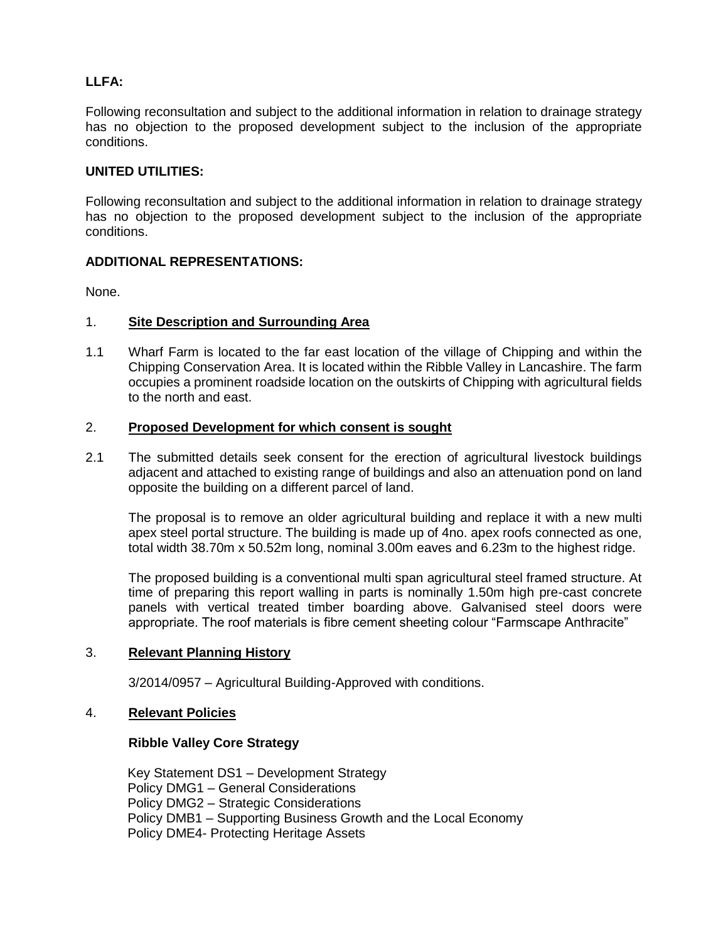# **LLFA:**

Following reconsultation and subject to the additional information in relation to drainage strategy has no objection to the proposed development subject to the inclusion of the appropriate conditions.

### **UNITED UTILITIES:**

Following reconsultation and subject to the additional information in relation to drainage strategy has no objection to the proposed development subject to the inclusion of the appropriate conditions.

### **ADDITIONAL REPRESENTATIONS:**

None.

### 1. **Site Description and Surrounding Area**

1.1 Wharf Farm is located to the far east location of the village of Chipping and within the Chipping Conservation Area. It is located within the Ribble Valley in Lancashire. The farm occupies a prominent roadside location on the outskirts of Chipping with agricultural fields to the north and east.

### 2. **Proposed Development for which consent is sought**

2.1 The submitted details seek consent for the erection of agricultural livestock buildings adjacent and attached to existing range of buildings and also an attenuation pond on land opposite the building on a different parcel of land.

The proposal is to remove an older agricultural building and replace it with a new multi apex steel portal structure. The building is made up of 4no. apex roofs connected as one, total width 38.70m x 50.52m long, nominal 3.00m eaves and 6.23m to the highest ridge.

The proposed building is a conventional multi span agricultural steel framed structure. At time of preparing this report walling in parts is nominally 1.50m high pre-cast concrete panels with vertical treated timber boarding above. Galvanised steel doors were appropriate. The roof materials is fibre cement sheeting colour "Farmscape Anthracite"

### 3. **Relevant Planning History**

3/2014/0957 – Agricultural Building-Approved with conditions.

### 4. **Relevant Policies**

### **Ribble Valley Core Strategy**

Key Statement DS1 – Development Strategy Policy DMG1 – General Considerations Policy DMG2 – Strategic Considerations Policy DMB1 – Supporting Business Growth and the Local Economy Policy DME4- Protecting Heritage Assets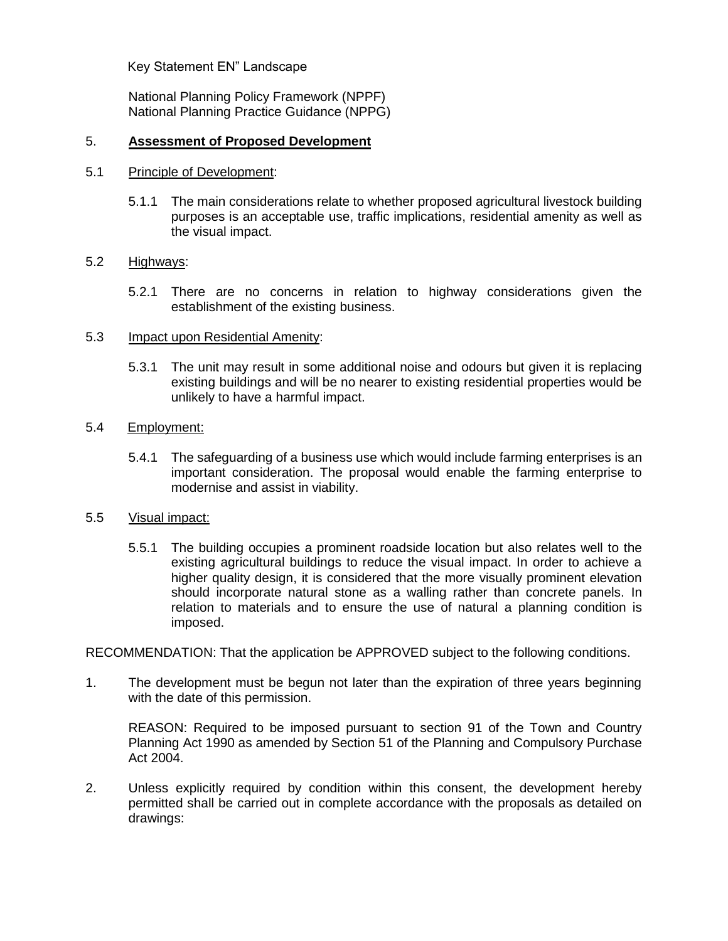Key Statement EN" Landscape

National Planning Policy Framework (NPPF) National Planning Practice Guidance (NPPG)

### 5. **Assessment of Proposed Development**

### 5.1 Principle of Development:

5.1.1 The main considerations relate to whether proposed agricultural livestock building purposes is an acceptable use, traffic implications, residential amenity as well as the visual impact.

## 5.2 Highways:

5.2.1 There are no concerns in relation to highway considerations given the establishment of the existing business.

### 5.3 Impact upon Residential Amenity:

5.3.1 The unit may result in some additional noise and odours but given it is replacing existing buildings and will be no nearer to existing residential properties would be unlikely to have a harmful impact.

#### 5.4 Employment:

5.4.1 The safeguarding of a business use which would include farming enterprises is an important consideration. The proposal would enable the farming enterprise to modernise and assist in viability.

### 5.5 Visual impact:

5.5.1 The building occupies a prominent roadside location but also relates well to the existing agricultural buildings to reduce the visual impact. In order to achieve a higher quality design, it is considered that the more visually prominent elevation should incorporate natural stone as a walling rather than concrete panels. In relation to materials and to ensure the use of natural a planning condition is imposed.

RECOMMENDATION: That the application be APPROVED subject to the following conditions.

1. The development must be begun not later than the expiration of three years beginning with the date of this permission.

REASON: Required to be imposed pursuant to section 91 of the Town and Country Planning Act 1990 as amended by Section 51 of the Planning and Compulsory Purchase Act 2004.

2. Unless explicitly required by condition within this consent, the development hereby permitted shall be carried out in complete accordance with the proposals as detailed on drawings: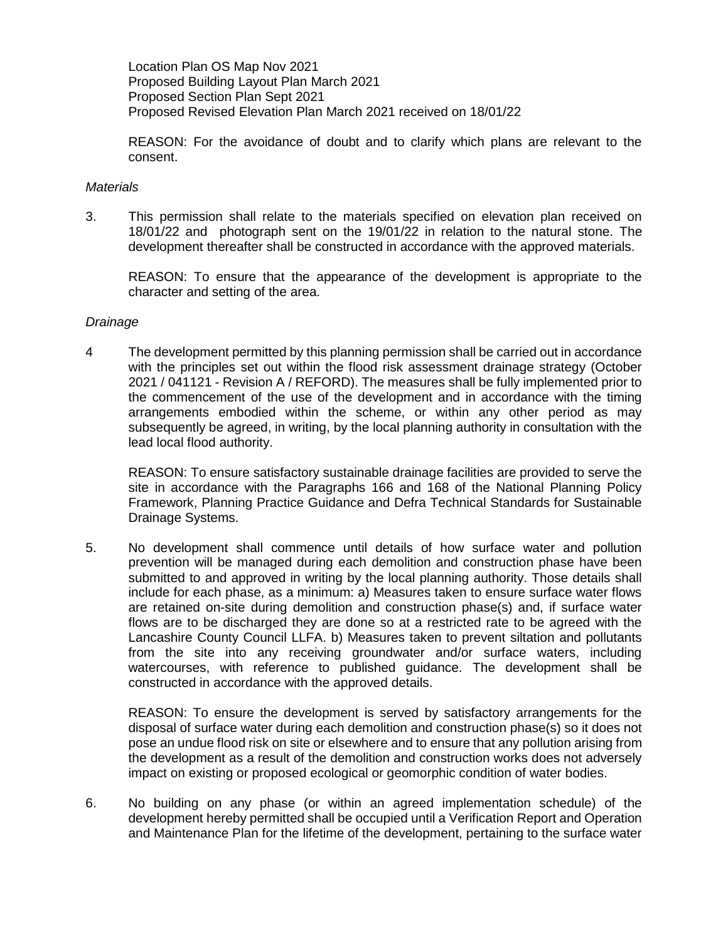Location Plan OS Map Nov 2021 Proposed Building Layout Plan March 2021 Proposed Section Plan Sept 2021 Proposed Revised Elevation Plan March 2021 received on 18/01/22

REASON: For the avoidance of doubt and to clarify which plans are relevant to the consent.

### *Materials*

3. This permission shall relate to the materials specified on elevation plan received on 18/01/22 and photograph sent on the 19/01/22 in relation to the natural stone. The development thereafter shall be constructed in accordance with the approved materials.

REASON: To ensure that the appearance of the development is appropriate to the character and setting of the area.

#### *Drainage*

4 The development permitted by this planning permission shall be carried out in accordance with the principles set out within the flood risk assessment drainage strategy (October 2021 / 041121 - Revision A / REFORD). The measures shall be fully implemented prior to the commencement of the use of the development and in accordance with the timing arrangements embodied within the scheme, or within any other period as may subsequently be agreed, in writing, by the local planning authority in consultation with the lead local flood authority.

REASON: To ensure satisfactory sustainable drainage facilities are provided to serve the site in accordance with the Paragraphs 166 and 168 of the National Planning Policy Framework, Planning Practice Guidance and Defra Technical Standards for Sustainable Drainage Systems.

5. No development shall commence until details of how surface water and pollution prevention will be managed during each demolition and construction phase have been submitted to and approved in writing by the local planning authority. Those details shall include for each phase, as a minimum: a) Measures taken to ensure surface water flows are retained on-site during demolition and construction phase(s) and, if surface water flows are to be discharged they are done so at a restricted rate to be agreed with the Lancashire County Council LLFA. b) Measures taken to prevent siltation and pollutants from the site into any receiving groundwater and/or surface waters, including watercourses, with reference to published guidance. The development shall be constructed in accordance with the approved details.

REASON: To ensure the development is served by satisfactory arrangements for the disposal of surface water during each demolition and construction phase(s) so it does not pose an undue flood risk on site or elsewhere and to ensure that any pollution arising from the development as a result of the demolition and construction works does not adversely impact on existing or proposed ecological or geomorphic condition of water bodies.

6. No building on any phase (or within an agreed implementation schedule) of the development hereby permitted shall be occupied until a Verification Report and Operation and Maintenance Plan for the lifetime of the development, pertaining to the surface water